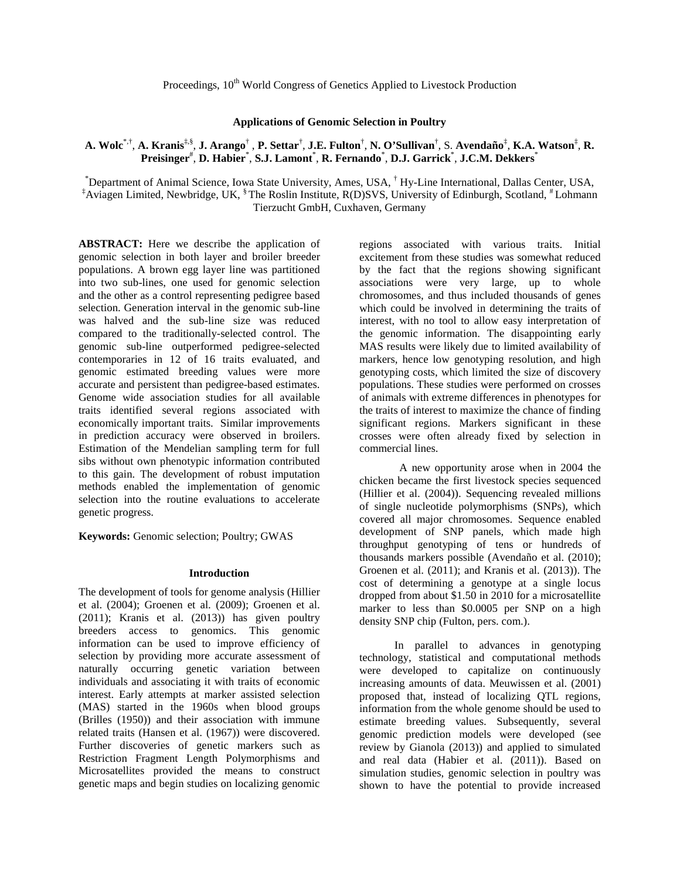# Proceedings, 10<sup>th</sup> World Congress of Genetics Applied to Livestock Production

## **Applications of Genomic Selection in Poultry**

# **A. Wolc**\*,† , **A. Kranis**‡,§ , **J. Arango**† , **P. Settar**† , **J.E. Fulton**† , **N. O'Sullivan**† , S. **Avendaño**‡ , **K.A. Watson**‡ , **R. Preisinger**# , **D. Habier** \* , **S.J. Lamont**\* , **R. Fernando**\* , **D.J. Garrick**\* , **J.C.M. Dekkers**\*

\* Department of Animal Science, Iowa State University, Ames, USA, † Hy-Line International, Dallas Center, USA, ‡ Aviagen Limited, Newbridge, UK, § The Roslin Institute, R(D)SVS, University of Edinburgh, Scotland, # Lohmann Tierzucht GmbH, Cuxhaven, Germany

**ABSTRACT:** Here we describe the application of genomic selection in both layer and broiler breeder populations. A brown egg layer line was partitioned into two sub-lines, one used for genomic selection and the other as a control representing pedigree based selection. Generation interval in the genomic sub-line was halved and the sub-line size was reduced compared to the traditionally-selected control. The genomic sub-line outperformed pedigree-selected contemporaries in 12 of 16 traits evaluated, and genomic estimated breeding values were more accurate and persistent than pedigree-based estimates. Genome wide association studies for all available traits identified several regions associated with economically important traits. Similar improvements in prediction accuracy were observed in broilers. Estimation of the Mendelian sampling term for full sibs without own phenotypic information contributed to this gain. The development of robust imputation methods enabled the implementation of genomic selection into the routine evaluations to accelerate genetic progress.

**Keywords:** Genomic selection; Poultry; GWAS

#### **Introduction**

The development of tools for genome analysis (Hillier et al. (2004); Groenen et al. (2009); Groenen et al. (2011); Kranis et al. (2013)) has given poultry breeders access to genomics. This genomic information can be used to improve efficiency of selection by providing more accurate assessment of naturally occurring genetic variation between individuals and associating it with traits of economic interest. Early attempts at marker assisted selection (MAS) started in the 1960s when blood groups (Brilles (1950)) and their association with immune related traits (Hansen et al. (1967)) were discovered. Further discoveries of genetic markers such as Restriction Fragment Length Polymorphisms and Microsatellites provided the means to construct genetic maps and begin studies on localizing genomic

regions associated with various traits. Initial excitement from these studies was somewhat reduced by the fact that the regions showing significant associations were very large, up to whole chromosomes, and thus included thousands of genes which could be involved in determining the traits of interest, with no tool to allow easy interpretation of the genomic information. The disappointing early MAS results were likely due to limited availability of markers, hence low genotyping resolution, and high genotyping costs, which limited the size of discovery populations. These studies were performed on crosses of animals with extreme differences in phenotypes for the traits of interest to maximize the chance of finding significant regions. Markers significant in these crosses were often already fixed by selection in commercial lines.

A new opportunity arose when in 2004 the chicken became the first livestock species sequenced (Hillier et al. (2004)). Sequencing revealed millions of single nucleotide polymorphisms (SNPs), which covered all major chromosomes. Sequence enabled development of SNP panels, which made high throughput genotyping of tens or hundreds of thousands markers possible (Avendaño et al. (2010); Groenen et al. (2011); and Kranis et al. (2013)). The cost of determining a genotype at a single locus dropped from about \$1.50 in 2010 for a microsatellite marker to less than \$0.0005 per SNP on a high density SNP chip (Fulton, pers. com.).

In parallel to advances in genotyping technology, statistical and computational methods were developed to capitalize on continuously increasing amounts of data. Meuwissen et al. (2001) proposed that, instead of localizing QTL regions, information from the whole genome should be used to estimate breeding values. Subsequently, several genomic prediction models were developed (see review by Gianola (2013)) and applied to simulated and real data (Habier et al. (2011)). Based on simulation studies, genomic selection in poultry was shown to have the potential to provide increased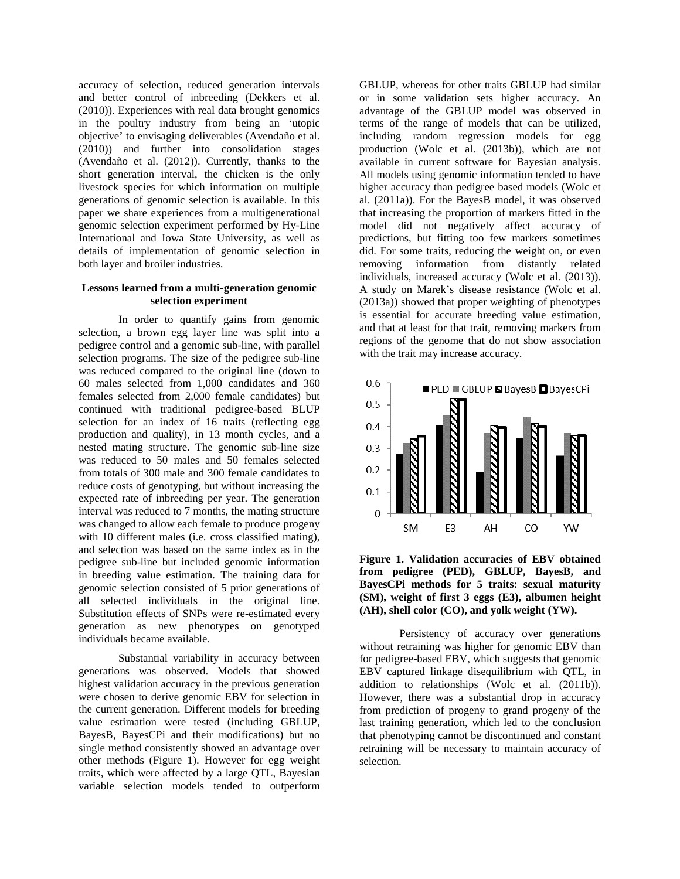accuracy of selection, reduced generation intervals and better control of inbreeding (Dekkers et al. (2010)). Experiences with real data brought genomics in the poultry industry from being an 'utopic objective' to envisaging deliverables (Avendaño et al. (2010)) and further into consolidation stages (Avendaño et al. (2012)). Currently, thanks to the short generation interval, the chicken is the only livestock species for which information on multiple generations of genomic selection is available. In this paper we share experiences from a multigenerational genomic selection experiment performed by Hy-Line International and Iowa State University, as well as details of implementation of genomic selection in both layer and broiler industries.

# **Lessons learned from a multi-generation genomic selection experiment**

In order to quantify gains from genomic selection, a brown egg layer line was split into a pedigree control and a genomic sub-line, with parallel selection programs. The size of the pedigree sub-line was reduced compared to the original line (down to 60 males selected from 1,000 candidates and 360 females selected from 2,000 female candidates) but continued with traditional pedigree-based BLUP selection for an index of 16 traits (reflecting egg production and quality), in 13 month cycles, and a nested mating structure. The genomic sub-line size was reduced to 50 males and 50 females selected from totals of 300 male and 300 female candidates to reduce costs of genotyping, but without increasing the expected rate of inbreeding per year. The generation interval was reduced to 7 months, the mating structure was changed to allow each female to produce progeny with 10 different males (i.e. cross classified mating), and selection was based on the same index as in the pedigree sub-line but included genomic information in breeding value estimation. The training data for genomic selection consisted of 5 prior generations of all selected individuals in the original line. Substitution effects of SNPs were re-estimated every generation as new phenotypes on genotyped individuals became available.

Substantial variability in accuracy between generations was observed. Models that showed highest validation accuracy in the previous generation were chosen to derive genomic EBV for selection in the current generation. Different models for breeding value estimation were tested (including GBLUP, BayesB, BayesCPi and their modifications) but no single method consistently showed an advantage over other methods (Figure 1). However for egg weight traits, which were affected by a large QTL, Bayesian variable selection models tended to outperform

GBLUP, whereas for other traits GBLUP had similar or in some validation sets higher accuracy. An advantage of the GBLUP model was observed in terms of the range of models that can be utilized, including random regression models for egg production (Wolc et al. (2013b)), which are not available in current software for Bayesian analysis. All models using genomic information tended to have higher accuracy than pedigree based models (Wolc et al. (2011a)). For the BayesB model, it was observed that increasing the proportion of markers fitted in the model did not negatively affect accuracy of predictions, but fitting too few markers sometimes did. For some traits, reducing the weight on, or even removing information from distantly related individuals, increased accuracy (Wolc et al. (2013)). A study on Marek's disease resistance (Wolc et al. (2013a)) showed that proper weighting of phenotypes is essential for accurate breeding value estimation, and that at least for that trait, removing markers from regions of the genome that do not show association with the trait may increase accuracy.



**Figure 1. Validation accuracies of EBV obtained from pedigree (PED), GBLUP, BayesB, and BayesCPi methods for 5 traits: sexual maturity (SM), weight of first 3 eggs (E3), albumen height (AH), shell color (CO), and yolk weight (YW).**

Persistency of accuracy over generations without retraining was higher for genomic EBV than for pedigree-based EBV, which suggests that genomic EBV captured linkage disequilibrium with QTL, in addition to relationships (Wolc et al. (2011b)). However, there was a substantial drop in accuracy from prediction of progeny to grand progeny of the last training generation, which led to the conclusion that phenotyping cannot be discontinued and constant retraining will be necessary to maintain accuracy of selection.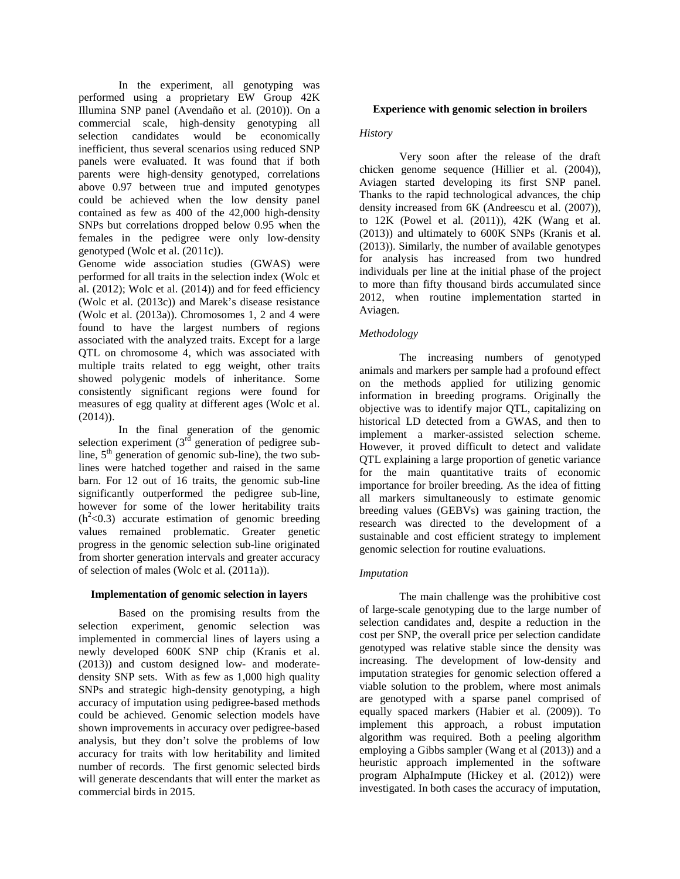In the experiment, all genotyping was performed using a proprietary EW Group 42K Illumina SNP panel (Avendaño et al. (2010)). On a commercial scale, high-density genotyping all selection candidates would be economically inefficient, thus several scenarios using reduced SNP panels were evaluated. It was found that if both parents were high-density genotyped, correlations above 0.97 between true and imputed genotypes could be achieved when the low density panel contained as few as 400 of the 42,000 high-density SNPs but correlations dropped below 0.95 when the females in the pedigree were only low-density genotyped (Wolc et al. (2011c)).

Genome wide association studies (GWAS) were performed for all traits in the selection index (Wolc et al.  $(2012)$ ; Wolc et al.  $(2014)$ ) and for feed efficiency (Wolc et al. (2013c)) and Marek's disease resistance (Wolc et al. (2013a)). Chromosomes 1, 2 and 4 were found to have the largest numbers of regions associated with the analyzed traits. Except for a large QTL on chromosome 4, which was associated with multiple traits related to egg weight, other traits showed polygenic models of inheritance. Some consistently significant regions were found for measures of egg quality at different ages (Wolc et al. (2014)).

In the final generation of the genomic selection experiment  $3<sup>rd</sup>$  generation of pedigree subline,  $5<sup>th</sup>$  generation of genomic sub-line), the two sublines were hatched together and raised in the same barn. For 12 out of 16 traits, the genomic sub-line significantly outperformed the pedigree sub-line, however for some of the lower heritability traits  $(h<sup>2</sup><0.3)$  accurate estimation of genomic breeding values remained problematic. Greater genetic progress in the genomic selection sub-line originated from shorter generation intervals and greater accuracy of selection of males (Wolc et al. (2011a)).

### **Implementation of genomic selection in layers**

Based on the promising results from the selection experiment, genomic selection was implemented in commercial lines of layers using a newly developed 600K SNP chip (Kranis et al. (2013)) and custom designed low- and moderatedensity SNP sets. With as few as 1,000 high quality SNPs and strategic high-density genotyping, a high accuracy of imputation using pedigree-based methods could be achieved. Genomic selection models have shown improvements in accuracy over pedigree-based analysis, but they don't solve the problems of low accuracy for traits with low heritability and limited number of records. The first genomic selected birds will generate descendants that will enter the market as commercial birds in 2015.

## **Experience with genomic selection in broilers**

## *History*

Very soon after the release of the draft chicken genome sequence (Hillier et al. (2004)), Aviagen started developing its first SNP panel. Thanks to the rapid technological advances, the chip density increased from 6K (Andreescu et al. (2007)), to 12K (Powel et al. (2011)), 42K (Wang et al. (2013)) and ultimately to 600K SNPs (Kranis et al. (2013)). Similarly, the number of available genotypes for analysis has increased from two hundred individuals per line at the initial phase of the project to more than fifty thousand birds accumulated since 2012, when routine implementation started in Aviagen.

## *Methodology*

The increasing numbers of genotyped animals and markers per sample had a profound effect on the methods applied for utilizing genomic information in breeding programs. Originally the objective was to identify major QTL, capitalizing on historical LD detected from a GWAS, and then to implement a marker-assisted selection scheme. However, it proved difficult to detect and validate QTL explaining a large proportion of genetic variance for the main quantitative traits of economic importance for broiler breeding. As the idea of fitting all markers simultaneously to estimate genomic breeding values (GEBVs) was gaining traction, the research was directed to the development of a sustainable and cost efficient strategy to implement genomic selection for routine evaluations.

# *Imputation*

The main challenge was the prohibitive cost of large-scale genotyping due to the large number of selection candidates and, despite a reduction in the cost per SNP, the overall price per selection candidate genotyped was relative stable since the density was increasing. The development of low-density and imputation strategies for genomic selection offered a viable solution to the problem, where most animals are genotyped with a sparse panel comprised of equally spaced markers (Habier et al. (2009)). To implement this approach, a robust imputation algorithm was required. Both a peeling algorithm employing a Gibbs sampler (Wang et al (2013)) and a heuristic approach implemented in the software program AlphaImpute (Hickey et al. (2012)) were investigated. In both cases the accuracy of imputation,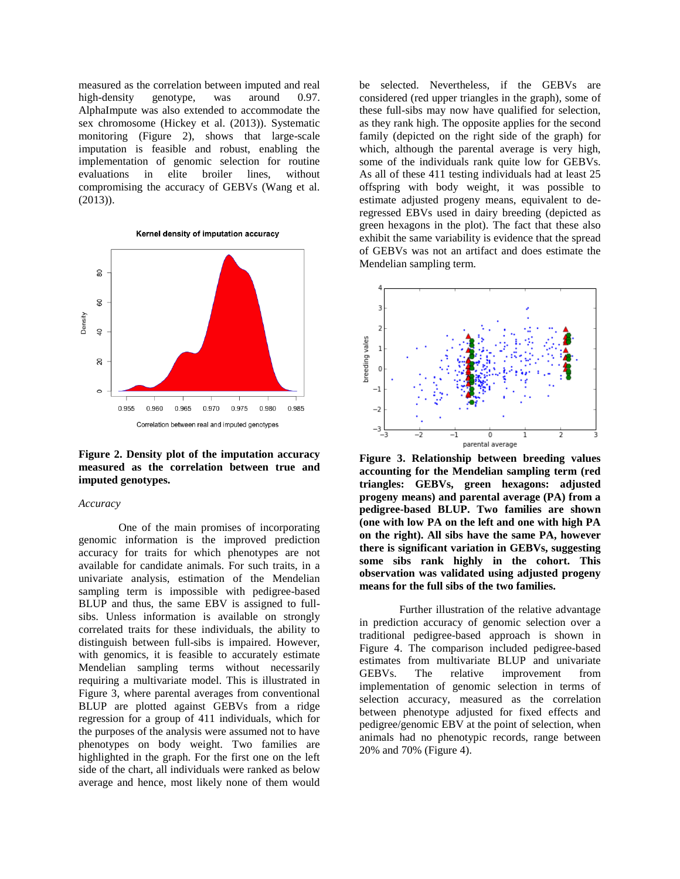measured as the correlation between imputed and real high-density genotype, was around 0.97. AlphaImpute was also extended to accommodate the sex chromosome (Hickey et al. (2013)). Systematic monitoring (Figure 2), shows that large-scale imputation is feasible and robust, enabling the implementation of genomic selection for routine evaluations in elite broiler lines, without compromising the accuracy of GEBVs (Wang et al. (2013)).





**Figure 2. Density plot of the imputation accuracy measured as the correlation between true and imputed genotypes.**

### *Accuracy*

One of the main promises of incorporating genomic information is the improved prediction accuracy for traits for which phenotypes are not available for candidate animals. For such traits, in a univariate analysis, estimation of the Mendelian sampling term is impossible with pedigree-based BLUP and thus, the same EBV is assigned to fullsibs. Unless information is available on strongly correlated traits for these individuals, the ability to distinguish between full-sibs is impaired. However, with genomics, it is feasible to accurately estimate Mendelian sampling terms without necessarily requiring a multivariate model. This is illustrated in Figure 3, where parental averages from conventional BLUP are plotted against GEBVs from a ridge regression for a group of 411 individuals, which for the purposes of the analysis were assumed not to have phenotypes on body weight. Two families are highlighted in the graph. For the first one on the left side of the chart, all individuals were ranked as below average and hence, most likely none of them would

be selected. Nevertheless, if the GEBVs are considered (red upper triangles in the graph), some of these full-sibs may now have qualified for selection, as they rank high. The opposite applies for the second family (depicted on the right side of the graph) for which, although the parental average is very high, some of the individuals rank quite low for GEBVs. As all of these 411 testing individuals had at least 25 offspring with body weight, it was possible to estimate adjusted progeny means, equivalent to deregressed EBVs used in dairy breeding (depicted as green hexagons in the plot). The fact that these also exhibit the same variability is evidence that the spread of GEBVs was not an artifact and does estimate the Mendelian sampling term.



**Figure 3. Relationship between breeding values accounting for the Mendelian sampling term (red triangles: GEBVs, green hexagons: adjusted progeny means) and parental average (PA) from a pedigree-based BLUP. Two families are shown (one with low PA on the left and one with high PA on the right). All sibs have the same PA, however there is significant variation in GEBVs, suggesting some sibs rank highly in the cohort. This observation was validated using adjusted progeny means for the full sibs of the two families.**

Further illustration of the relative advantage in prediction accuracy of genomic selection over a traditional pedigree-based approach is shown in Figure 4. The comparison included pedigree-based estimates from multivariate BLUP and univariate GEBVs. The relative improvement from implementation of genomic selection in terms of selection accuracy, measured as the correlation between phenotype adjusted for fixed effects and pedigree/genomic EBV at the point of selection, when animals had no phenotypic records, range between 20% and 70% (Figure 4).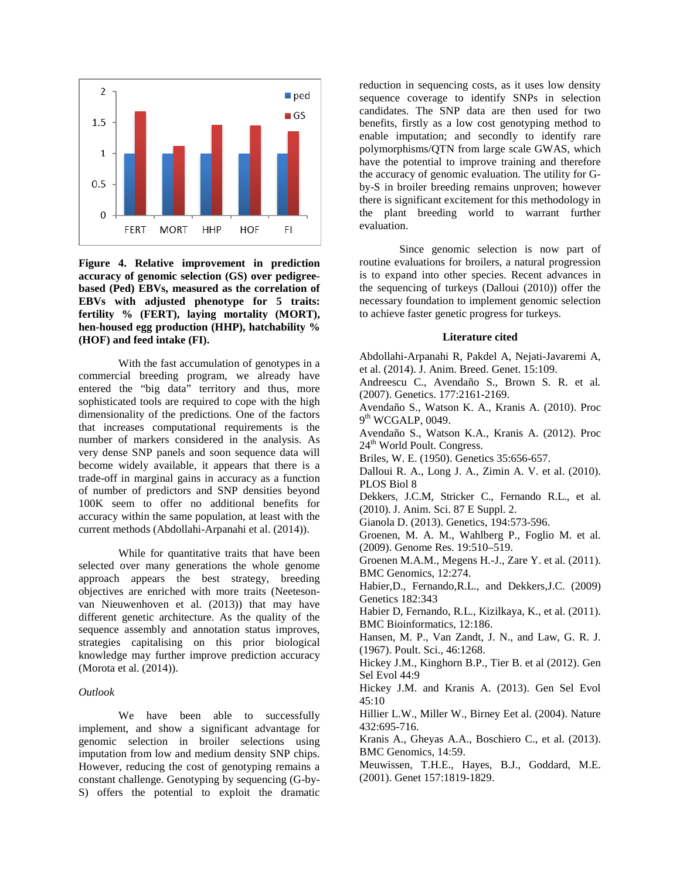

**Figure 4. Relative improvement in prediction accuracy of genomic selection (GS) over pedigreebased (Ped) EBVs, measured as the correlation of EBVs with adjusted phenotype for 5 traits: fertility % (FERT), laying mortality (MORT), hen-housed egg production (HHP), hatchability % (HOF) and feed intake (FI).** 

With the fast accumulation of genotypes in a commercial breeding program, we already have entered the "big data" territory and thus, more sophisticated tools are required to cope with the high dimensionality of the predictions. One of the factors that increases computational requirements is the number of markers considered in the analysis. As very dense SNP panels and soon sequence data will become widely available, it appears that there is a trade-off in marginal gains in accuracy as a function of number of predictors and SNP densities beyond 100K seem to offer no additional benefits for accuracy within the same population, at least with the current methods (Abdollahi-Arpanahi et al. (2014)).

While for quantitative traits that have been selected over many generations the whole genome approach appears the best strategy, breeding objectives are enriched with more traits (Neetesonvan Nieuwenhoven et al. (2013)) that may have different genetic architecture. As the quality of the sequence assembly and annotation status improves, strategies capitalising on this prior biological knowledge may further improve prediction accuracy (Morota et al. (2014)).

#### *Outlook*

We have been able to successfully implement, and show a significant advantage for genomic selection in broiler selections using imputation from low and medium density SNP chips. However, reducing the cost of genotyping remains a constant challenge. Genotyping by sequencing (G-by-S) offers the potential to exploit the dramatic

reduction in sequencing costs, as it uses low density sequence coverage to identify SNPs in selection candidates. The SNP data are then used for two benefits, firstly as a low cost genotyping method to enable imputation; and secondly to identify rare polymorphisms/QTN from large scale GWAS, which have the potential to improve training and therefore the accuracy of genomic evaluation. The utility for Gby-S in broiler breeding remains unproven; however there is significant excitement for this methodology in the plant breeding world to warrant further evaluation.

Since genomic selection is now part of routine evaluations for broilers, a natural progression is to expand into other species. Recent advances in the sequencing of turkeys (Dalloui (2010)) offer the necessary foundation to implement genomic selection to achieve faster genetic progress for turkeys.

### **Literature cited**

Abdollahi-Arpanahi R, Pakdel A, Nejati-Javaremi A, et al. (2014). J. Anim. Breed. Genet. 15:109.

Andreescu C., Avendaño S., Brown S. R. et al*.*  (2007). Genetics. 177:2161-2169.

Avendaño S., Watson K. A., Kranis A. (2010). Proc  $9<sup>th</sup> WCGALP, 0049.$ 

Avendaño S., Watson K.A., Kranis A. (2012). Proc 24<sup>th</sup> World Poult. Congress.

Briles, W. E. (1950). Genetics 35:656-657.

Dalloui R. A., Long J. A., Zimin A. V. et al. (2010). PLOS Biol 8

Dekkers, J.C.M, Stricker C., Fernando R.L., et al. (2010). J. Anim. Sci. 87 E Suppl. 2.

Gianola D. (2013). Genetics, 194:573-596.

Groenen, M. A. M., Wahlberg P., Foglio M. et al. (2009). Genome Res. 19:510–519.

Groenen M.A.M., Megens H.-J., Zare Y. et al. (2011). BMC Genomics, 12:274.

Habier,D., Fernando,R.L., and Dekkers,J.C. (2009) Genetics 182:343

Habier D, Fernando, R.L., Kizilkaya, K., et al. (2011). BMC Bioinformatics, 12:186.

Hansen, M. P., Van Zandt, J. N., and Law, G. R. J. (1967). Poult. Sci., 46:1268.

Hickey J.M., Kinghorn B.P., Tier B. et al (2012). Gen Sel Evol 44:9

Hickey J.M. and Kranis A. (2013). Gen Sel Evol 45:10

Hillier L.W., Miller W., Birney Eet al. (2004). Nature 432:695-716.

Kranis A., Gheyas A.A., Boschiero C., et al. (2013). BMC Genomics, 14:59.

Meuwissen, T.H.E., Hayes, B.J., Goddard, M.E. (2001). Genet 157:1819-1829.